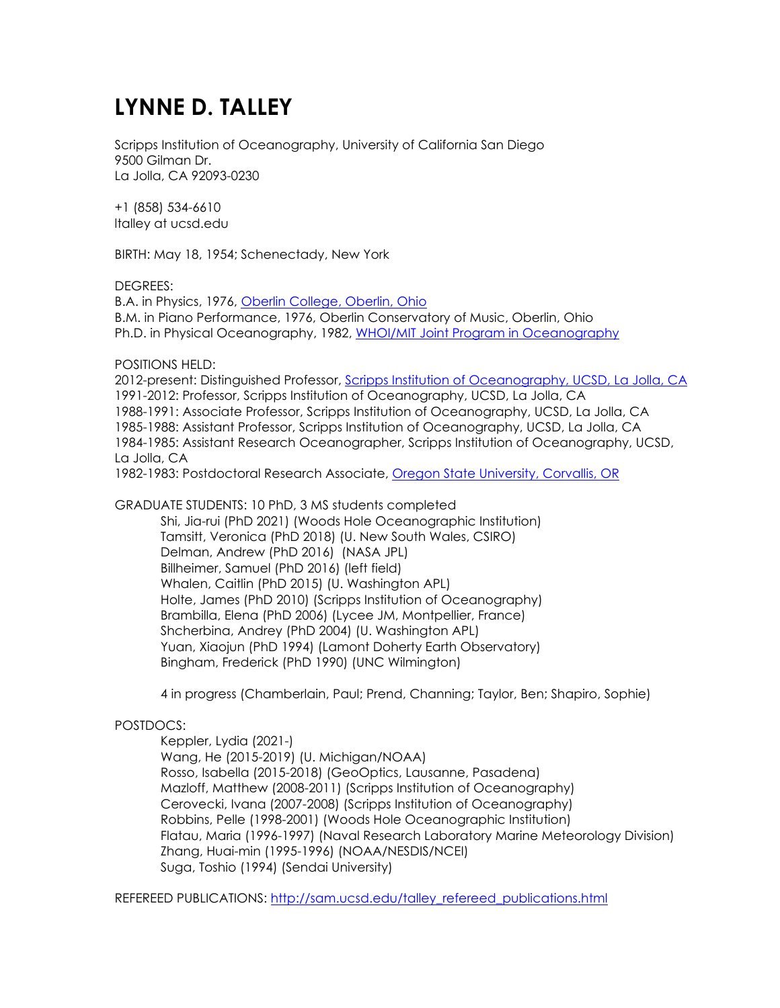## **LYNNE D. TALLEY**

Scripps Institution of Oceanography, University of California San Diego 9500 Gilman Dr. La Jolla, CA 92093-0230

+1 (858) 534-6610 ltalley at ucsd.edu

BIRTH: May 18, 1954; Schenectady, New York

## DEGREES:

B.A. in Physics, 1976, Oberlin College, Oberlin, Ohio B.M. in Piano Performance, 1976, Oberlin Conservatory of Music, Oberlin, Ohio Ph.D. in Physical Oceanography, 1982, WHOI/MIT Joint Program in Oceanography

POSITIONS HELD:

2012-present: Distinguished Professor, Scripps Institution of Oceanography, UCSD, La Jolla, CA 1991-2012: Professor, Scripps Institution of Oceanography, UCSD, La Jolla, CA 1988-1991: Associate Professor, Scripps Institution of Oceanography, UCSD, La Jolla, CA 1985-1988: Assistant Professor, Scripps Institution of Oceanography, UCSD, La Jolla, CA 1984-1985: Assistant Research Oceanographer, Scripps Institution of Oceanography, UCSD, La Jolla, CA

1982-1983: Postdoctoral Research Associate, Oregon State University, Corvallis, OR

GRADUATE STUDENTS: 10 PhD, 3 MS students completed Shi, Jia-rui (PhD 2021) (Woods Hole Oceanographic Institution) Tamsitt, Veronica (PhD 2018) (U. New South Wales, CSIRO) Delman, Andrew (PhD 2016) (NASA JPL) Billheimer, Samuel (PhD 2016) (left field) Whalen, Caitlin (PhD 2015) (U. Washington APL) Holte, James (PhD 2010) (Scripps Institution of Oceanography) Brambilla, Elena (PhD 2006) (Lycee JM, Montpellier, France) Shcherbina, Andrey (PhD 2004) (U. Washington APL) Yuan, Xiaojun (PhD 1994) (Lamont Doherty Earth Observatory) Bingham, Frederick (PhD 1990) (UNC Wilmington)

4 in progress (Chamberlain, Paul; Prend, Channing; Taylor, Ben; Shapiro, Sophie)

## POSTDOCS:

Keppler, Lydia (2021-) Wang, He (2015-2019) (U. Michigan/NOAA) Rosso, Isabella (2015-2018) (GeoOptics, Lausanne, Pasadena) Mazloff, Matthew (2008-2011) (Scripps Institution of Oceanography) Cerovecki, Ivana (2007-2008) (Scripps Institution of Oceanography) Robbins, Pelle (1998-2001) (Woods Hole Oceanographic Institution) Flatau, Maria (1996-1997) (Naval Research Laboratory Marine Meteorology Division) Zhang, Huai-min (1995-1996) (NOAA/NESDIS/NCEI) Suga, Toshio (1994) (Sendai University)

REFEREED PUBLICATIONS: http://sam.ucsd.edu/talley\_refereed\_publications.html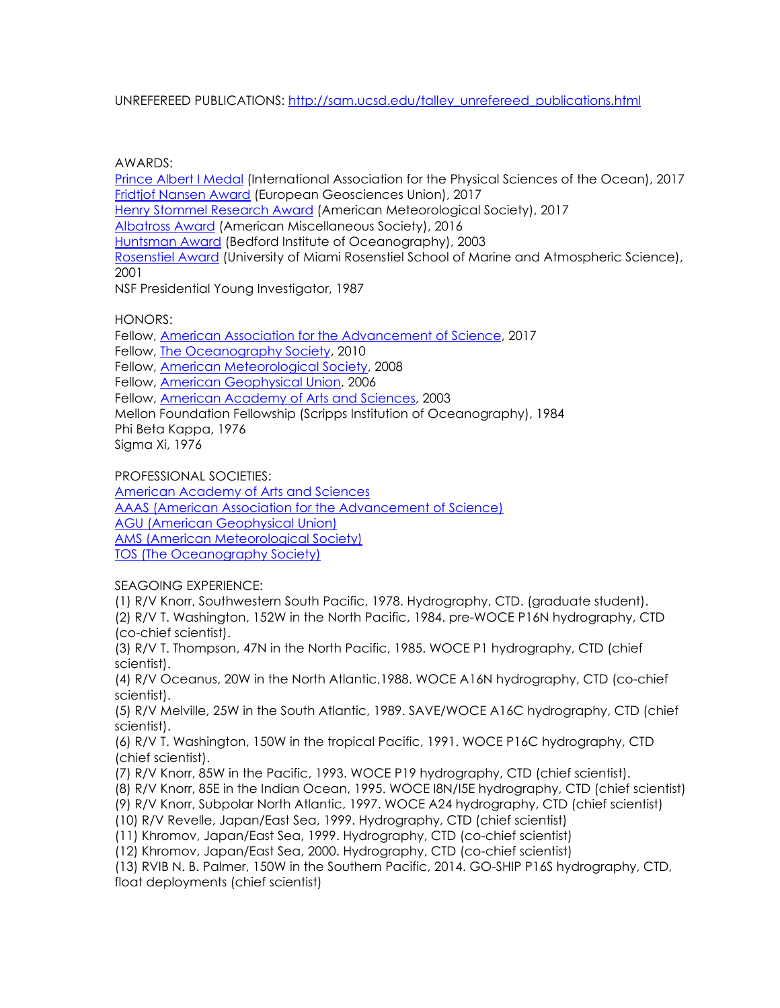UNREFEREED PUBLICATIONS: http://sam.ucsd.edu/talley\_unrefereed\_publications.html

AWARDS:

Prince Albert I Medal (International Association for the Physical Sciences of the Ocean), 2017 Fridtjof Nansen Award (European Geosciences Union), 2017 Henry Stommel Research Award (American Meteorological Society), 2017 Albatross Award (American Miscellaneous Society), 2016 Huntsman Award (Bedford Institute of Oceanography), 2003 Rosenstiel Award (University of Miami Rosenstiel School of Marine and Atmospheric Science), 2001 NSF Presidential Young Investigator, 1987

HONORS:

Fellow, American Association for the Advancement of Science, 2017 Fellow, The Oceanography Society, 2010 Fellow, American Meteorological Society, 2008 Fellow, American Geophysical Union, 2006 Fellow, American Academy of Arts and Sciences, 2003 Mellon Foundation Fellowship (Scripps Institution of Oceanography), 1984 Phi Beta Kappa, 1976 Sigma Xi, 1976

PROFESSIONAL SOCIETIES:

American Academy of Arts and Sciences AAAS (American Association for the Advancement of Science) AGU (American Geophysical Union) AMS (American Meteorological Society) TOS (The Oceanography Society)

SEAGOING EXPERIENCE:

(1) R/V Knorr, Southwestern South Pacific, 1978. Hydrography, CTD. (graduate student).

(2) R/V T. Washington, 152W in the North Pacific, 1984. pre-WOCE P16N hydrography, CTD (co-chief scientist).

(3) R/V T. Thompson, 47N in the North Pacific, 1985. WOCE P1 hydrography, CTD (chief scientist).

(4) R/V Oceanus, 20W in the North Atlantic,1988. WOCE A16N hydrography, CTD (co-chief scientist).

(5) R/V Melville, 25W in the South Atlantic, 1989. SAVE/WOCE A16C hydrography, CTD (chief scientist).

(6) R/V T. Washington, 150W in the tropical Pacific, 1991. WOCE P16C hydrography, CTD (chief scientist).

(7) R/V Knorr, 85W in the Pacific, 1993. WOCE P19 hydrography, CTD (chief scientist).

(8) R/V Knorr, 85E in the Indian Ocean, 1995. WOCE I8N/I5E hydrography, CTD (chief scientist)

(9) R/V Knorr, Subpolar North Atlantic, 1997. WOCE A24 hydrography, CTD (chief scientist)

(10) R/V Revelle, Japan/East Sea, 1999. Hydrography, CTD (chief scientist)

(11) Khromov, Japan/East Sea, 1999. Hydrography, CTD (co-chief scientist)

(12) Khromov, Japan/East Sea, 2000. Hydrography, CTD (co-chief scientist)

(13) RVIB N. B. Palmer, 150W in the Southern Pacific, 2014. GO-SHIP P16S hydrography, CTD, float deployments (chief scientist)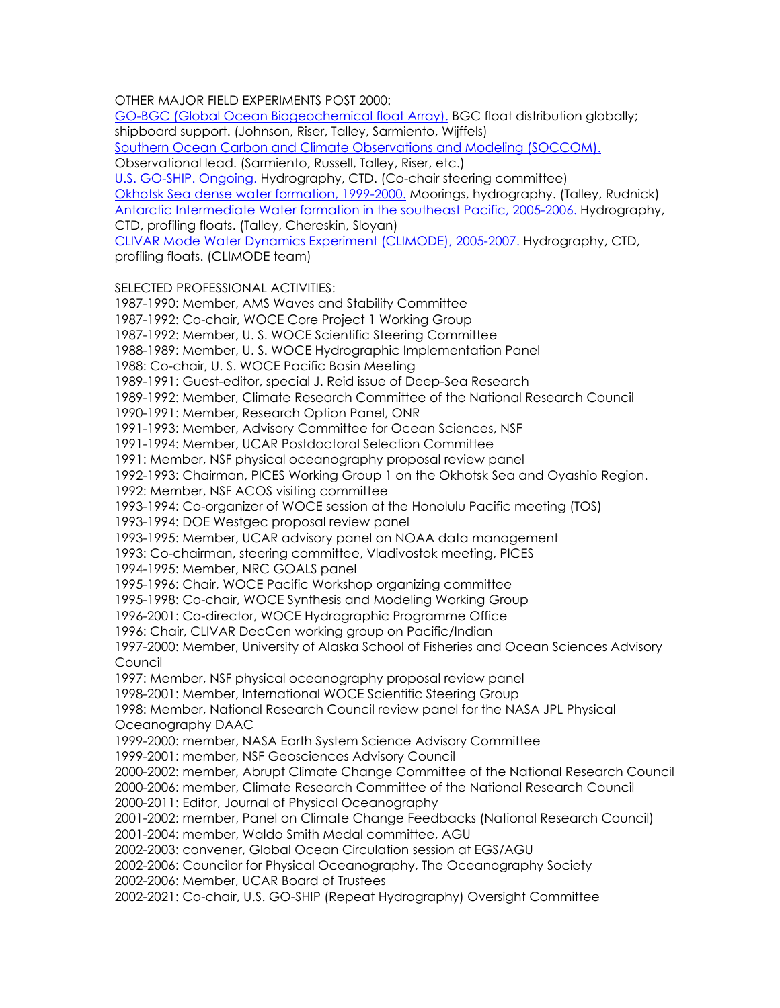OTHER MAJOR FIELD EXPERIMENTS POST 2000:

GO-BGC (Global Ocean Biogeochemical float Array). BGC float distribution globally; shipboard support. (Johnson, Riser, Talley, Sarmiento, Wijffels) Southern Ocean Carbon and Climate Observations and Modeling (SOCCOM). Observational lead. (Sarmiento, Russell, Talley, Riser, etc.) U.S. GO-SHIP. Ongoing. Hydrography, CTD. (Co-chair steering committee) Okhotsk Sea dense water formation, 1999-2000. Moorings, hydrography. (Talley, Rudnick) Antarctic Intermediate Water formation in the southeast Pacific, 2005-2006. Hydrography, CTD, profiling floats. (Talley, Chereskin, Sloyan) CLIVAR Mode Water Dynamics Experiment (CLIMODE), 2005-2007. Hydrography, CTD, profiling floats. (CLIMODE team)

SELECTED PROFESSIONAL ACTIVITIES:

1987-1990: Member, AMS Waves and Stability Committee 1987-1992: Co-chair, WOCE Core Project 1 Working Group 1987-1992: Member, U. S. WOCE Scientific Steering Committee 1988-1989: Member, U. S. WOCE Hydrographic Implementation Panel 1988: Co-chair, U. S. WOCE Pacific Basin Meeting 1989-1991: Guest-editor, special J. Reid issue of Deep-Sea Research 1989-1992: Member, Climate Research Committee of the National Research Council 1990-1991: Member, Research Option Panel, ONR 1991-1993: Member, Advisory Committee for Ocean Sciences, NSF 1991-1994: Member, UCAR Postdoctoral Selection Committee 1991: Member, NSF physical oceanography proposal review panel 1992-1993: Chairman, PICES Working Group 1 on the Okhotsk Sea and Oyashio Region. 1992: Member, NSF ACOS visiting committee 1993-1994: Co-organizer of WOCE session at the Honolulu Pacific meeting (TOS) 1993-1994: DOE Westgec proposal review panel 1993-1995: Member, UCAR advisory panel on NOAA data management 1993: Co-chairman, steering committee, Vladivostok meeting, PICES 1994-1995: Member, NRC GOALS panel 1995-1996: Chair, WOCE Pacific Workshop organizing committee 1995-1998: Co-chair, WOCE Synthesis and Modeling Working Group 1996-2001: Co-director, WOCE Hydrographic Programme Office 1996: Chair, CLIVAR DecCen working group on Pacific/Indian 1997-2000: Member, University of Alaska School of Fisheries and Ocean Sciences Advisory Council 1997: Member, NSF physical oceanography proposal review panel 1998-2001: Member, International WOCE Scientific Steering Group 1998: Member, National Research Council review panel for the NASA JPL Physical Oceanography DAAC 1999-2000: member, NASA Earth System Science Advisory Committee 1999-2001: member, NSF Geosciences Advisory Council 2000-2002: member, Abrupt Climate Change Committee of the National Research Council 2000-2006: member, Climate Research Committee of the National Research Council 2000-2011: Editor, Journal of Physical Oceanography 2001-2002: member, Panel on Climate Change Feedbacks (National Research Council) 2001-2004: member, Waldo Smith Medal committee, AGU 2002-2003: convener, Global Ocean Circulation session at EGS/AGU 2002-2006: Councilor for Physical Oceanography, The Oceanography Society 2002-2006: Member, UCAR Board of Trustees 2002-2021: Co-chair, U.S. GO-SHIP (Repeat Hydrography) Oversight Committee